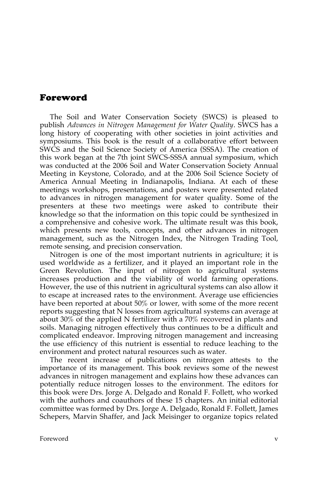## Foreword

The Soil and Water Conservation Society (SWCS) is pleased to publish *Advances in Nitrogen Management for Water Quality*. SWCS has a long history of cooperating with other societies in joint activities and symposiums. This book is the result of a collaborative effort between SWCS and the Soil Science Society of America (SSSA). The creation of this work began at the 7th joint SWCS-SSSA annual symposium, which was conducted at the 2006 Soil and Water Conservation Society Annual Meeting in Keystone, Colorado, and at the 2006 Soil Science Society of America Annual Meeting in Indianapolis, Indiana. At each of these meetings workshops, presentations, and posters were presented related to advances in nitrogen management for water quality. Some of the presenters at these two meetings were asked to contribute their knowledge so that the information on this topic could be synthesized in a comprehensive and cohesive work. The ultimate result was this book, which presents new tools, concepts, and other advances in nitrogen management, such as the Nitrogen Index, the Nitrogen Trading Tool, remote sensing, and precision conservation.

Nitrogen is one of the most important nutrients in agriculture; it is used worldwide as a fertilizer, and it played an important role in the Green Revolution. The input of nitrogen to agricultural systems increases production and the viability of world farming operations. However, the use of this nutrient in agricultural systems can also allow it to escape at increased rates to the environment. Average use efficiencies have been reported at about 50% or lower, with some of the more recent reports suggesting that N losses from agricultural systems can average at about 30% of the applied N fertilizer with a 70% recovered in plants and soils. Managing nitrogen effectively thus continues to be a difficult and complicated endeavor. Improving nitrogen management and increasing the use efficiency of this nutrient is essential to reduce leaching to the environment and protect natural resources such as water.

The recent increase of publications on nitrogen attests to the importance of its management. This book reviews some of the newest advances in nitrogen management and explains how these advances can potentially reduce nitrogen losses to the environment. The editors for this book were Drs. Jorge A. Delgado and Ronald F. Follett, who worked with the authors and coauthors of these 15 chapters. An initial editorial committee was formed by Drs. Jorge A. Delgado, Ronald F. Follett, James Schepers, Marvin Shaffer, and Jack Meisinger to organize topics related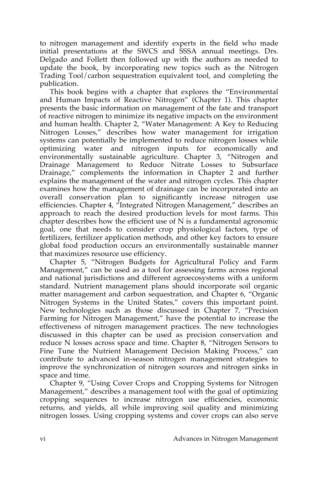to nitrogen management and identify experts in the field who made initial presentations at the SWCS and SSSA annual meetings. Drs. Delgado and Follett then followed up with the authors as needed to update the book, by incorporating new topics such as the Nitrogen Trading Tool/carbon sequestration equivalent tool, and completing the publication.

This book begins with a chapter that explores the "Environmental and Human Impacts of Reactive Nitrogen" (Chapter 1). This chapter presents the basic information on management of the fate and transport of reactive nitrogen to minimize its negative impacts on the environment and human health. Chapter 2, "Water Management: A Key to Reducing Nitrogen Losses," describes how water management for irrigation systems can potentially be implemented to reduce nitrogen losses while optimizing water and nitrogen inputs for economically and environmentally sustainable agriculture. Chapter 3, "Nitrogen and Drainage Management to Reduce Nitrate Losses to Subsurface Drainage," complements the information in Chapter 2 and further explains the management of the water and nitrogen cycles. This chapter examines how the management of drainage can be incorporated into an overall conservation plan to significantly increase nitrogen use efficiencies. Chapter 4, "Integrated Nitrogen Management," describes an approach to reach the desired production levels for most farms. This chapter describes how the efficient use of  $N$  is a fundamental agronomic goal, one that needs to consider crop physiological factors, type of fertilizers, fertilizer application methods, and other key factors to ensure global food production occurs an environmentally sustainable manner that maximizes resource use efficiency.

Chapter 5, "Nitrogen Budgets for Agricultural Policy and Farm Management," can be used as a tool for assessing farms across regional and national jurisdictions and different agroecosystems with a uniform standard. Nutrient management plans should incorporate soil organic matter management and carbon sequestration, and Chapter 6, "Organic Nitrogen Systems in the United States," covers this important point. New technologies such as those discussed in Chapter 7, "Precision Farming for Nitrogen Management," have the potential to increase the effectiveness of nitrogen management practices. The new technologies discussed in this chapter can be used as precision conservation and reduce N losses across space and time. Chapter 8, "Nitrogen Sensors to Fine Tune the Nutrient Management Decision Making Process," can contribute to advanced in-season nitrogen management strategies to improve the synchronization of nitrogen sources and nitrogen sinks in space and time.

Chapter 9, "Using Cover Crops and Cropping Systems for Nitrogen Management," describes a management tool with the goal of optimizing cropping sequences to increase nitrogen use efficiencies, economic returns, and yields, all while improving soil quality and minimizing nitrogen losses. Using cropping systems and cover crops can also serve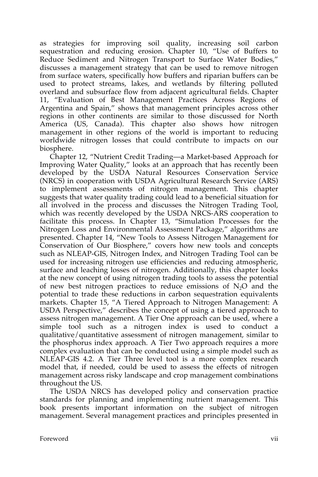as strategies for improving soil quality, increasing soil carbon sequestration and reducing erosion. Chapter 10, "Use of Buffers to Reduce Sediment and Nitrogen Transport to Surface Water Bodies," discusses a management strategy that can be used to remove nitrogen from surface waters, specifically how buffers and riparian buffers can be used to protect streams, lakes, and wetlands by filtering polluted overland and subsurface flow from adjacent agricultural fields. Chapter 11, "Evaluation of Best Management Practices Across Regions of Argentina and Spain," shows that management principles across other regions in other continents are similar to those discussed for North America (US, Canada). This chapter also shows how nitrogen management in other regions of the world is important to reducing worldwide nitrogen losses that could contribute to impacts on our biosphere.

Chapter 12, "Nutrient Credit Trading—a Market-based Approach for Improving Water Quality," looks at an approach that has recently been developed by the USDA Natural Resources Conservation Service (NRCS) in cooperation with USDA Agricultural Research Service (ARS) to implement assessments of nitrogen management. This chapter suggests that water quality trading could lead to a beneficial situation for all involved in the process and discusses the Nitrogen Trading Tool, which was recently developed by the USDA NRCS-ARS cooperation to facilitate this process. In Chapter 13, "Simulation Processes for the Nitrogen Loss and Environmental Assessment Package," algorithms are presented. Chapter 14, "New Tools to Assess Nitrogen Management for Conservation of Our Biosphere," covers how new tools and concepts such as NLEAP-GIS, Nitrogen Index, and Nitrogen Trading Tool can be used for increasing nitrogen use efficiencies and reducing atmospheric, surface and leaching losses of nitrogen. Additionally, this chapter looks at the new concept of using nitrogen trading tools to assess the potential of new best nitrogen practices to reduce emissions of  $N_2O$  and the potential to trade these reductions in carbon sequestration equivalents markets. Chapter 15, "A Tiered Approach to Nitrogen Management: A USDA Perspective," describes the concept of using a tiered approach to assess nitrogen management. A Tier One approach can be used, where a simple tool such as a nitrogen index is used to conduct a qualitative/quantitative assessment of nitrogen management, similar to the phosphorus index approach. A Tier Two approach requires a more complex evaluation that can be conducted using a simple model such as NLEAP-GIS 4.2. A Tier Three level tool is a more complex research model that, if needed, could be used to assess the effects of nitrogen management across risky landscape and crop management combinations throughout the US.

The USDA NRCS has developed policy and conservation practice standards for planning and implementing nutrient management. This book presents important information on the subject of nitrogen management. Several management practices and principles presented in